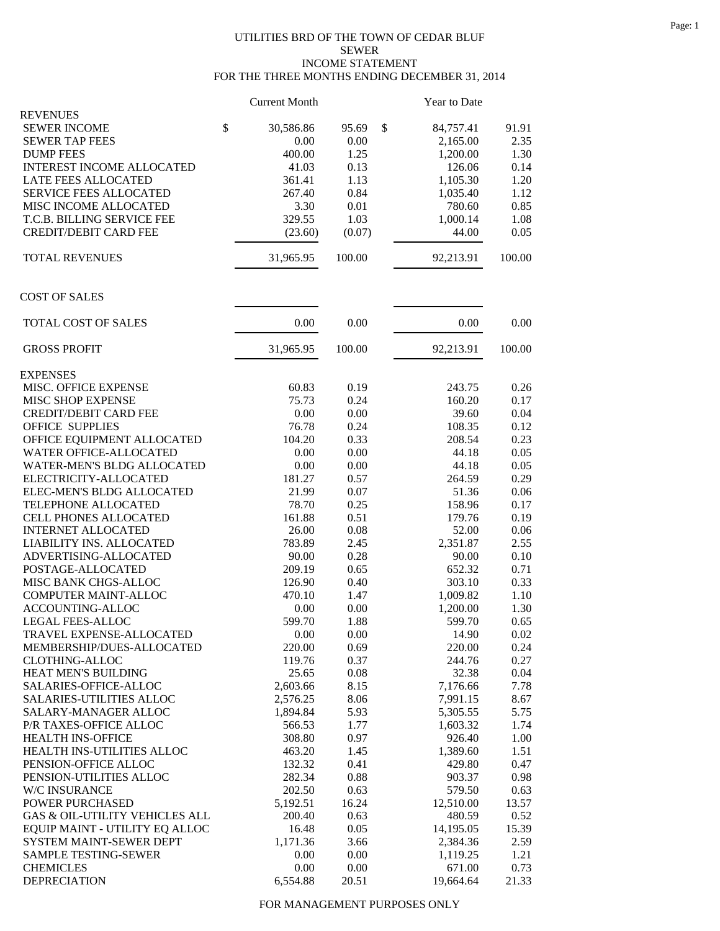## UTILITIES BRD OF THE TOWN OF CEDAR BLUF SEWER INCOME STATEMENT FOR THE THREE MONTHS ENDING DECEMBER 31, 2014

|                                         | <b>Current Month</b> |        | Year to Date    |        |
|-----------------------------------------|----------------------|--------|-----------------|--------|
| <b>REVENUES</b>                         |                      |        |                 |        |
| <b>SEWER INCOME</b>                     | \$<br>30,586.86      | 95.69  | \$<br>84,757.41 | 91.91  |
| <b>SEWER TAP FEES</b>                   | 0.00                 | 0.00   | 2,165.00        | 2.35   |
| <b>DUMP FEES</b>                        | 400.00               | 1.25   | 1,200.00        | 1.30   |
| <b>INTEREST INCOME ALLOCATED</b>        | 41.03                | 0.13   | 126.06          | 0.14   |
| <b>LATE FEES ALLOCATED</b>              | 361.41               | 1.13   | 1,105.30        | 1.20   |
| <b>SERVICE FEES ALLOCATED</b>           | 267.40               | 0.84   | 1,035.40        | 1.12   |
| MISC INCOME ALLOCATED                   | 3.30                 | 0.01   | 780.60          | 0.85   |
| T.C.B. BILLING SERVICE FEE              | 329.55               | 1.03   | 1,000.14        | 1.08   |
| <b>CREDIT/DEBIT CARD FEE</b>            | (23.60)              | (0.07) | 44.00           | 0.05   |
| <b>TOTAL REVENUES</b>                   | 31,965.95            | 100.00 | 92,213.91       | 100.00 |
| <b>COST OF SALES</b>                    |                      |        |                 |        |
| TOTAL COST OF SALES                     | 0.00                 | 0.00   | 0.00            | 0.00   |
| <b>GROSS PROFIT</b>                     | 31,965.95            | 100.00 | 92,213.91       | 100.00 |
|                                         |                      |        |                 |        |
| <b>EXPENSES</b><br>MISC. OFFICE EXPENSE | 60.83                | 0.19   | 243.75          | 0.26   |
|                                         | 75.73                | 0.24   | 160.20          | 0.17   |
| MISC SHOP EXPENSE                       |                      |        |                 | 0.04   |
| <b>CREDIT/DEBIT CARD FEE</b>            | 0.00                 | 0.00   | 39.60           |        |
| <b>OFFICE SUPPLIES</b>                  | 76.78                | 0.24   | 108.35          | 0.12   |
| OFFICE EQUIPMENT ALLOCATED              | 104.20               | 0.33   | 208.54          | 0.23   |
| WATER OFFICE-ALLOCATED                  | 0.00                 | 0.00   | 44.18           | 0.05   |
| WATER-MEN'S BLDG ALLOCATED              | 0.00                 | 0.00   | 44.18           | 0.05   |
| ELECTRICITY-ALLOCATED                   | 181.27               | 0.57   | 264.59          | 0.29   |
| ELEC-MEN'S BLDG ALLOCATED               | 21.99                | 0.07   | 51.36           | 0.06   |
| TELEPHONE ALLOCATED                     | 78.70                | 0.25   | 158.96          | 0.17   |
| <b>CELL PHONES ALLOCATED</b>            | 161.88               | 0.51   | 179.76          | 0.19   |
| <b>INTERNET ALLOCATED</b>               | 26.00                | 0.08   | 52.00           | 0.06   |
| LIABILITY INS. ALLOCATED                | 783.89               | 2.45   | 2,351.87        | 2.55   |
| ADVERTISING-ALLOCATED                   | 90.00                | 0.28   | 90.00           | 0.10   |
| POSTAGE-ALLOCATED                       | 209.19               | 0.65   | 652.32          | 0.71   |
| MISC BANK CHGS-ALLOC                    | 126.90               | 0.40   | 303.10          | 0.33   |
| COMPUTER MAINT-ALLOC                    | 470.10               | 1.47   | 1,009.82        | 1.10   |
| ACCOUNTING-ALLOC                        | 0.00                 | 0.00   | 1,200.00        | 1.30   |
| LEGAL FEES-ALLOC                        | 599.70               | 1.88   | 599.70          | 0.65   |
| TRAVEL EXPENSE-ALLOCATED                | 0.00                 | 0.00   | 14.90           | 0.02   |
| MEMBERSHIP/DUES-ALLOCATED               | 220.00               | 0.69   | 220.00          | 0.24   |
| <b>CLOTHING-ALLOC</b>                   | 119.76               | 0.37   | 244.76          | 0.27   |
| HEAT MEN'S BUILDING                     | 25.65                | 0.08   | 32.38           | 0.04   |
| SALARIES-OFFICE-ALLOC                   | 2,603.66             | 8.15   | 7,176.66        | 7.78   |
| SALARIES-UTILITIES ALLOC                | 2,576.25             | 8.06   | 7,991.15        | 8.67   |
| SALARY-MANAGER ALLOC                    | 1,894.84             | 5.93   | 5,305.55        | 5.75   |
| P/R TAXES-OFFICE ALLOC                  | 566.53               | 1.77   | 1,603.32        | 1.74   |
| <b>HEALTH INS-OFFICE</b>                | 308.80               | 0.97   | 926.40          | 1.00   |
| HEALTH INS-UTILITIES ALLOC              | 463.20               | 1.45   | 1,389.60        | 1.51   |
| PENSION-OFFICE ALLOC                    | 132.32               | 0.41   | 429.80          | 0.47   |
| PENSION-UTILITIES ALLOC                 | 282.34               | 0.88   | 903.37          | 0.98   |
| W/C INSURANCE                           | 202.50               | 0.63   | 579.50          | 0.63   |
| POWER PURCHASED                         | 5,192.51             | 16.24  | 12,510.00       | 13.57  |
| GAS & OIL-UTILITY VEHICLES ALL          | 200.40               | 0.63   | 480.59          | 0.52   |
| EQUIP MAINT - UTILITY EQ ALLOC          | 16.48                | 0.05   | 14,195.05       | 15.39  |
| SYSTEM MAINT-SEWER DEPT                 | 1,171.36             | 3.66   | 2,384.36        | 2.59   |
| <b>SAMPLE TESTING-SEWER</b>             | 0.00                 | 0.00   | 1,119.25        | 1.21   |
| <b>CHEMICLES</b>                        | 0.00                 | 0.00   | 671.00          | 0.73   |
| <b>DEPRECIATION</b>                     | 6,554.88             | 20.51  | 19,664.64       | 21.33  |